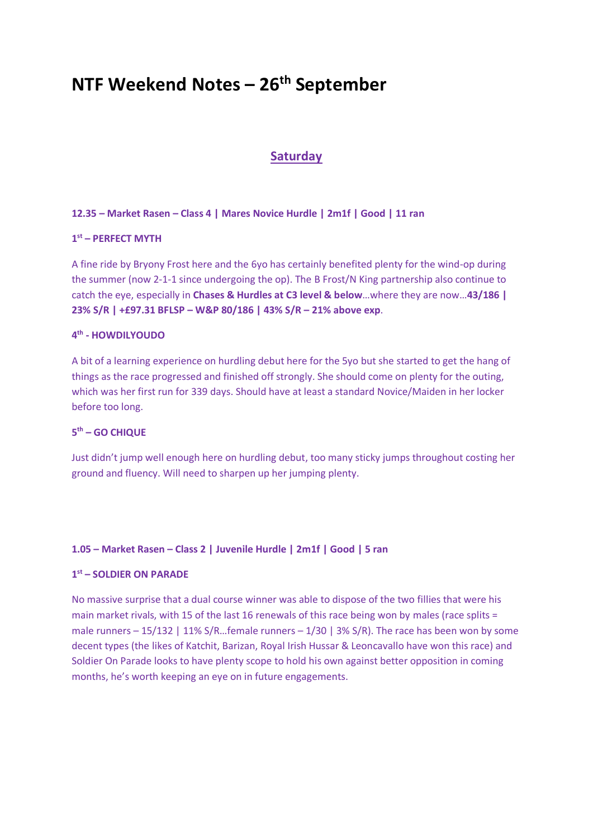### **NTF Weekend Notes – 26 th September**

#### **Saturday**

#### **12.35 – Market Rasen – Class 4 | Mares Novice Hurdle | 2m1f | Good | 11 ran**

#### **1 st – PERFECT MYTH**

A fine ride by Bryony Frost here and the 6yo has certainly benefited plenty for the wind-op during the summer (now 2-1-1 since undergoing the op). The B Frost/N King partnership also continue to catch the eye, especially in **Chases & Hurdles at C3 level & below**…where they are now…**43/186 | 23% S/R | +£97.31 BFLSP – W&P 80/186 | 43% S/R – 21% above exp**.

#### **4 th - HOWDILYOUDO**

A bit of a learning experience on hurdling debut here for the 5yo but she started to get the hang of things as the race progressed and finished off strongly. She should come on plenty for the outing, which was her first run for 339 days. Should have at least a standard Novice/Maiden in her locker before too long.

#### **5 th – GO CHIQUE**

Just didn't jump well enough here on hurdling debut, too many sticky jumps throughout costing her ground and fluency. Will need to sharpen up her jumping plenty.

#### **1.05 – Market Rasen – Class 2 | Juvenile Hurdle | 2m1f | Good | 5 ran**

#### **1 st – SOLDIER ON PARADE**

No massive surprise that a dual course winner was able to dispose of the two fillies that were his main market rivals, with 15 of the last 16 renewals of this race being won by males (race splits = male runners – 15/132 | 11% S/R...female runners – 1/30 | 3% S/R). The race has been won by some decent types (the likes of Katchit, Barizan, Royal Irish Hussar & Leoncavallo have won this race) and Soldier On Parade looks to have plenty scope to hold his own against better opposition in coming months, he's worth keeping an eye on in future engagements.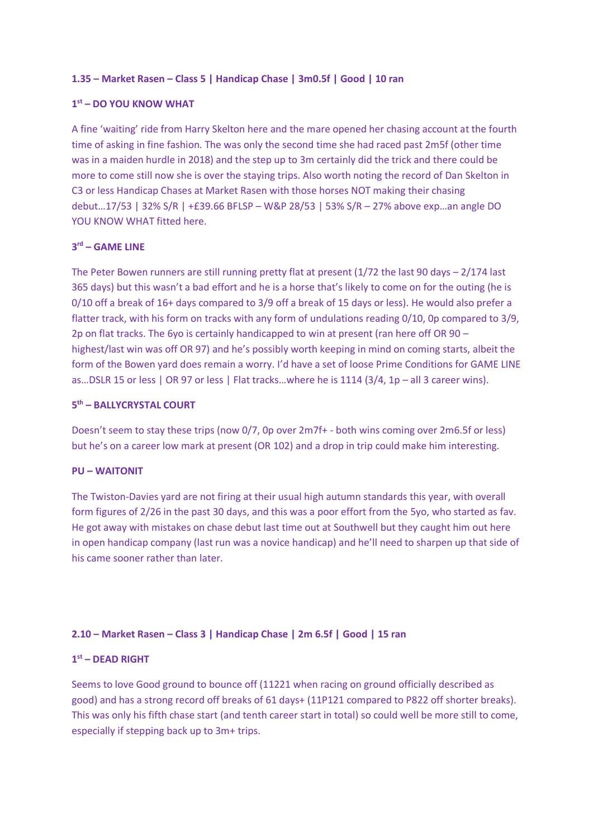#### **1.35 – Market Rasen – Class 5 | Handicap Chase | 3m0.5f | Good | 10 ran**

#### **1 st – DO YOU KNOW WHAT**

A fine 'waiting' ride from Harry Skelton here and the mare opened her chasing account at the fourth time of asking in fine fashion. The was only the second time she had raced past 2m5f (other time was in a maiden hurdle in 2018) and the step up to 3m certainly did the trick and there could be more to come still now she is over the staying trips. Also worth noting the record of Dan Skelton in C3 or less Handicap Chases at Market Rasen with those horses NOT making their chasing debut…17/53 | 32% S/R | +£39.66 BFLSP – W&P 28/53 | 53% S/R – 27% above exp…an angle DO YOU KNOW WHAT fitted here.

#### **3 rd – GAME LINE**

The Peter Bowen runners are still running pretty flat at present (1/72 the last 90 days – 2/174 last 365 days) but this wasn't a bad effort and he is a horse that's likely to come on for the outing (he is 0/10 off a break of 16+ days compared to 3/9 off a break of 15 days or less). He would also prefer a flatter track, with his form on tracks with any form of undulations reading 0/10, 0p compared to 3/9, 2p on flat tracks. The 6yo is certainly handicapped to win at present (ran here off OR 90 – highest/last win was off OR 97) and he's possibly worth keeping in mind on coming starts, albeit the form of the Bowen yard does remain a worry. I'd have a set of loose Prime Conditions for GAME LINE as…DSLR 15 or less | OR 97 or less | Flat tracks…where he is 1114 (3/4, 1p – all 3 career wins).

#### **5 th – BALLYCRYSTAL COURT**

Doesn't seem to stay these trips (now 0/7, 0p over 2m7f+ - both wins coming over 2m6.5f or less) but he's on a career low mark at present (OR 102) and a drop in trip could make him interesting.

#### **PU – WAITONIT**

The Twiston-Davies yard are not firing at their usual high autumn standards this year, with overall form figures of 2/26 in the past 30 days, and this was a poor effort from the 5yo, who started as fav. He got away with mistakes on chase debut last time out at Southwell but they caught him out here in open handicap company (last run was a novice handicap) and he'll need to sharpen up that side of his came sooner rather than later.

#### **2.10 – Market Rasen – Class 3 | Handicap Chase | 2m 6.5f | Good | 15 ran**

#### **1 st – DEAD RIGHT**

Seems to love Good ground to bounce off (11221 when racing on ground officially described as good) and has a strong record off breaks of 61 days+ (11P121 compared to P822 off shorter breaks). This was only his fifth chase start (and tenth career start in total) so could well be more still to come, especially if stepping back up to 3m+ trips.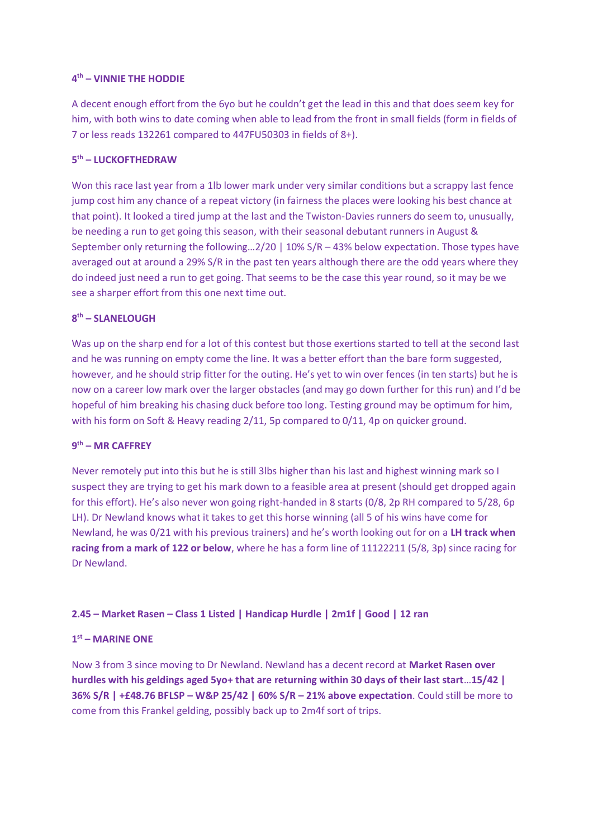#### **4 th – VINNIE THE HODDIE**

A decent enough effort from the 6yo but he couldn't get the lead in this and that does seem key for him, with both wins to date coming when able to lead from the front in small fields (form in fields of 7 or less reads 132261 compared to 447FU50303 in fields of 8+).

#### **5 th – LUCKOFTHEDRAW**

Won this race last year from a 1lb lower mark under very similar conditions but a scrappy last fence jump cost him any chance of a repeat victory (in fairness the places were looking his best chance at that point). It looked a tired jump at the last and the Twiston-Davies runners do seem to, unusually, be needing a run to get going this season, with their seasonal debutant runners in August & September only returning the following...2/20 | 10% S/R - 43% below expectation. Those types have averaged out at around a 29% S/R in the past ten years although there are the odd years where they do indeed just need a run to get going. That seems to be the case this year round, so it may be we see a sharper effort from this one next time out.

#### **8 th – SLANELOUGH**

Was up on the sharp end for a lot of this contest but those exertions started to tell at the second last and he was running on empty come the line. It was a better effort than the bare form suggested, however, and he should strip fitter for the outing. He's yet to win over fences (in ten starts) but he is now on a career low mark over the larger obstacles (and may go down further for this run) and I'd be hopeful of him breaking his chasing duck before too long. Testing ground may be optimum for him, with his form on Soft & Heavy reading 2/11, 5p compared to 0/11, 4p on quicker ground.

#### **9 th – MR CAFFREY**

Never remotely put into this but he is still 3lbs higher than his last and highest winning mark so I suspect they are trying to get his mark down to a feasible area at present (should get dropped again for this effort). He's also never won going right-handed in 8 starts (0/8, 2p RH compared to 5/28, 6p LH). Dr Newland knows what it takes to get this horse winning (all 5 of his wins have come for Newland, he was 0/21 with his previous trainers) and he's worth looking out for on a **LH track when racing from a mark of 122 or below**, where he has a form line of 11122211 (5/8, 3p) since racing for Dr Newland.

#### **2.45 – Market Rasen – Class 1 Listed | Handicap Hurdle | 2m1f | Good | 12 ran**

#### **1 st – MARINE ONE**

Now 3 from 3 since moving to Dr Newland. Newland has a decent record at **Market Rasen over hurdles with his geldings aged 5yo+ that are returning within 30 days of their last start**…**15/42 | 36% S/R | +£48.76 BFLSP – W&P 25/42 | 60% S/R – 21% above expectation**. Could still be more to come from this Frankel gelding, possibly back up to 2m4f sort of trips.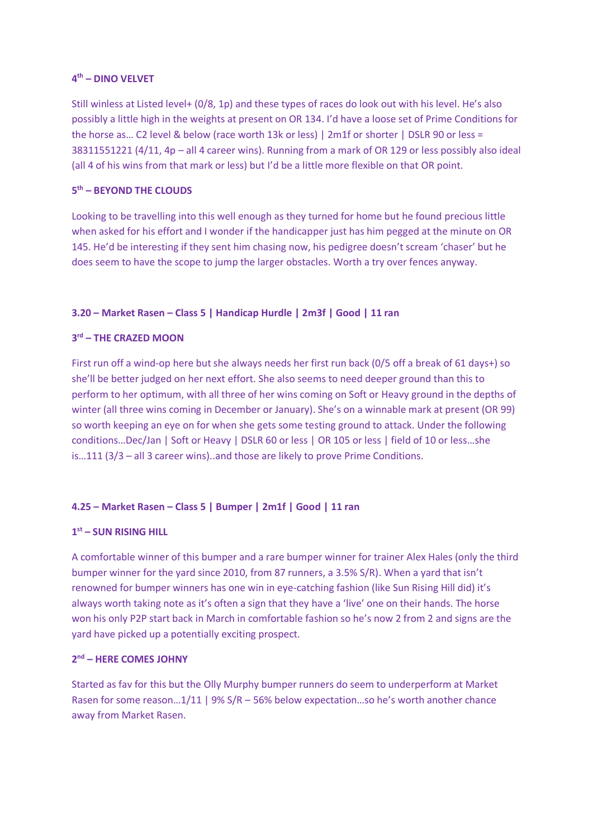#### **4 th – DINO VELVET**

Still winless at Listed level+ (0/8, 1p) and these types of races do look out with his level. He's also possibly a little high in the weights at present on OR 134. I'd have a loose set of Prime Conditions for the horse as… C2 level & below (race worth 13k or less) | 2m1f or shorter | DSLR 90 or less = 38311551221 (4/11, 4p – all 4 career wins). Running from a mark of OR 129 or less possibly also ideal (all 4 of his wins from that mark or less) but I'd be a little more flexible on that OR point.

#### **5 th – BEYOND THE CLOUDS**

Looking to be travelling into this well enough as they turned for home but he found precious little when asked for his effort and I wonder if the handicapper just has him pegged at the minute on OR 145. He'd be interesting if they sent him chasing now, his pedigree doesn't scream 'chaser' but he does seem to have the scope to jump the larger obstacles. Worth a try over fences anyway.

#### **3.20 – Market Rasen – Class 5 | Handicap Hurdle | 2m3f | Good | 11 ran**

#### **3 rd – THE CRAZED MOON**

First run off a wind-op here but she always needs her first run back (0/5 off a break of 61 days+) so she'll be better judged on her next effort. She also seems to need deeper ground than this to perform to her optimum, with all three of her wins coming on Soft or Heavy ground in the depths of winter (all three wins coming in December or January). She's on a winnable mark at present (OR 99) so worth keeping an eye on for when she gets some testing ground to attack. Under the following conditions...Dec/Jan | Soft or Heavy | DSLR 60 or less | OR 105 or less | field of 10 or less...she is…111 (3/3 – all 3 career wins)..and those are likely to prove Prime Conditions.

#### **4.25 – Market Rasen – Class 5 | Bumper | 2m1f | Good | 11 ran**

#### **1 st – SUN RISING HILL**

A comfortable winner of this bumper and a rare bumper winner for trainer Alex Hales (only the third bumper winner for the yard since 2010, from 87 runners, a 3.5% S/R). When a yard that isn't renowned for bumper winners has one win in eye-catching fashion (like Sun Rising Hill did) it's always worth taking note as it's often a sign that they have a 'live' one on their hands. The horse won his only P2P start back in March in comfortable fashion so he's now 2 from 2 and signs are the yard have picked up a potentially exciting prospect.

#### **2 nd – HERE COMES JOHNY**

Started as fav for this but the Olly Murphy bumper runners do seem to underperform at Market Rasen for some reason…1/11 | 9% S/R – 56% below expectation…so he's worth another chance away from Market Rasen.